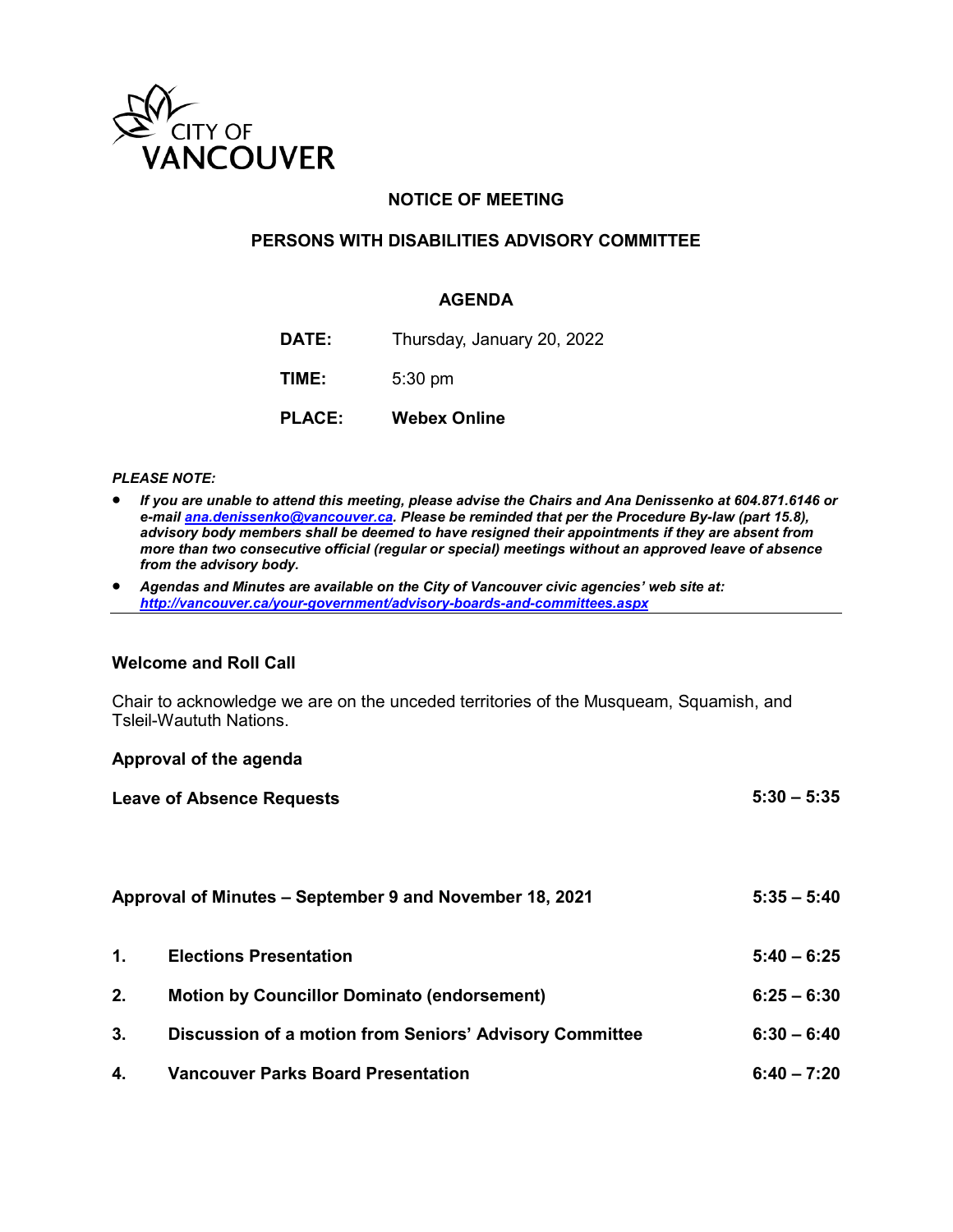

## **NOTICE OF MEETING**

### **PERSONS WITH DISABILITIES ADVISORY COMMITTEE**

#### **AGENDA**

| DATE: | Thursday, January 20, 2022 |  |  |  |
|-------|----------------------------|--|--|--|
|-------|----------------------------|--|--|--|

**TIME:** 5:30 pm

**PLACE: Webex Online**

#### *PLEASE NOTE:*

- *If you are unable to attend this meeting, please advise the Chairs and Ana Denissenko at 604.871.6146 or e-mai[l ana.denissenko@vancouver.ca.](mailto:ana.denissenko@vancouver.ca) Please be reminded that per the Procedure By-law (part 15.8), advisory body members shall be deemed to have resigned their appointments if they are absent from more than two consecutive official (regular or special) meetings without an approved leave of absence from the advisory body.*
- *Agendas and Minutes are available on the City of Vancouver civic agencies' web site at: <http://vancouver.ca/your-government/advisory-boards-and-committees.aspx>*

#### **Welcome and Roll Call**

Chair to acknowledge we are on the unceded territories of the Musqueam, Squamish, and Tsleil-Waututh Nations.

#### **Approval of the agenda**

|    | <b>Leave of Absence Requests</b>                        | $5:30 - 5:35$ |
|----|---------------------------------------------------------|---------------|
|    | Approval of Minutes – September 9 and November 18, 2021 | $5:35 - 5:40$ |
| 1. | <b>Elections Presentation</b>                           | $5:40 - 6:25$ |
| 2. | <b>Motion by Councillor Dominato (endorsement)</b>      | $6:25 - 6:30$ |
| 3. | Discussion of a motion from Seniors' Advisory Committee | $6:30 - 6:40$ |
| 4. | <b>Vancouver Parks Board Presentation</b>               | $6:40 - 7:20$ |